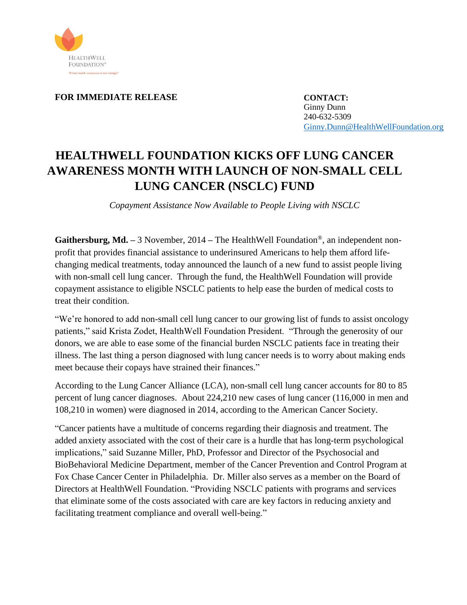

**FOR IMMEDIATE RELEASE**

**CONTACT:** Ginny Dunn 240-632-5309 [Ginny.Dunn@HealthWellFoundation.org](mailto:Ginny.Dunn@HealthWellFoundation.org)

## **HEALTHWELL FOUNDATION KICKS OFF LUNG CANCER AWARENESS MONTH WITH LAUNCH OF NON-SMALL CELL LUNG CANCER (NSCLC) FUND**

*Copayment Assistance Now Available to People Living with NSCLC*

**Gaithersburg, Md. –** 3 November, 2014 **–** The HealthWell Foundation®, an independent nonprofit that provides financial assistance to underinsured Americans to help them afford lifechanging medical treatments, today announced the launch of a new fund to assist people living with non-small cell lung cancer. Through the fund, the HealthWell Foundation will provide copayment assistance to eligible NSCLC patients to help ease the burden of medical costs to treat their condition.

"We're honored to add non-small cell lung cancer to our growing list of funds to assist oncology patients," said Krista Zodet, HealthWell Foundation President. "Through the generosity of our donors, we are able to ease some of the financial burden NSCLC patients face in treating their illness. The last thing a person diagnosed with lung cancer needs is to worry about making ends meet because their copays have strained their finances."

According to the Lung Cancer Alliance (LCA), non-small cell lung cancer accounts for 80 to 85 percent of lung cancer diagnoses. About 224,210 new cases of lung cancer (116,000 in men and 108,210 in women) were diagnosed in 2014, according to the American Cancer Society.

"Cancer patients have a multitude of concerns regarding their diagnosis and treatment. The added anxiety associated with the cost of their care is a hurdle that has long-term psychological implications," said Suzanne Miller, PhD, Professor and Director of the Psychosocial and BioBehavioral Medicine Department, member of the Cancer Prevention and Control Program at Fox Chase Cancer Center in Philadelphia. Dr. Miller also serves as a member on the Board of Directors at HealthWell Foundation. "Providing NSCLC patients with programs and services that eliminate some of the costs associated with care are key factors in reducing anxiety and facilitating treatment compliance and overall well-being."